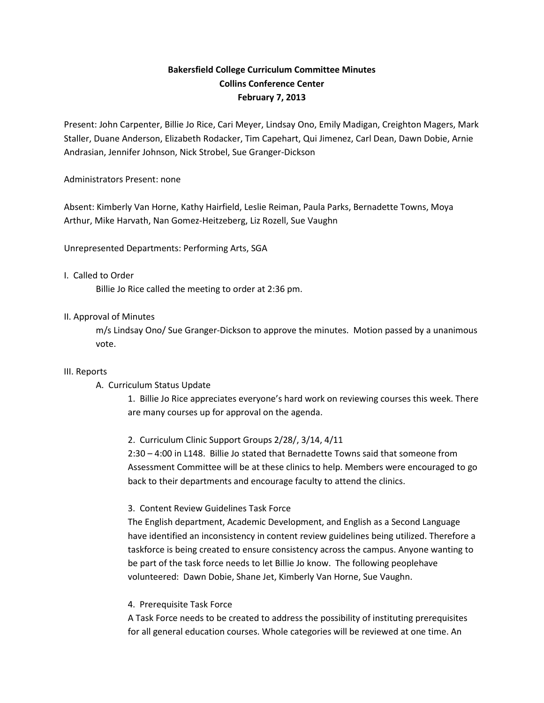# **Bakersfield College Curriculum Committee Minutes Collins Conference Center February 7, 2013**

Present: John Carpenter, Billie Jo Rice, Cari Meyer, Lindsay Ono, Emily Madigan, Creighton Magers, Mark Staller, Duane Anderson, Elizabeth Rodacker, Tim Capehart, Qui Jimenez, Carl Dean, Dawn Dobie, Arnie Andrasian, Jennifer Johnson, Nick Strobel, Sue Granger-Dickson

## Administrators Present: none

Absent: Kimberly Van Horne, Kathy Hairfield, Leslie Reiman, Paula Parks, Bernadette Towns, Moya Arthur, Mike Harvath, Nan Gomez-Heitzeberg, Liz Rozell, Sue Vaughn

Unrepresented Departments: Performing Arts, SGA

#### I. Called to Order

Billie Jo Rice called the meeting to order at 2:36 pm.

## II. Approval of Minutes

m/s Lindsay Ono/ Sue Granger-Dickson to approve the minutes. Motion passed by a unanimous vote.

#### III. Reports

## A. Curriculum Status Update

1. Billie Jo Rice appreciates everyone's hard work on reviewing courses this week. There are many courses up for approval on the agenda.

2. Curriculum Clinic Support Groups 2/28/, 3/14, 4/11

2:30 – 4:00 in L148. Billie Jo stated that Bernadette Towns said that someone from Assessment Committee will be at these clinics to help. Members were encouraged to go back to their departments and encourage faculty to attend the clinics.

## 3. Content Review Guidelines Task Force

The English department, Academic Development, and English as a Second Language have identified an inconsistency in content review guidelines being utilized. Therefore a taskforce is being created to ensure consistency across the campus. Anyone wanting to be part of the task force needs to let Billie Jo know. The following peoplehave volunteered: Dawn Dobie, Shane Jet, Kimberly Van Horne, Sue Vaughn.

## 4. Prerequisite Task Force

A Task Force needs to be created to address the possibility of instituting prerequisites for all general education courses. Whole categories will be reviewed at one time. An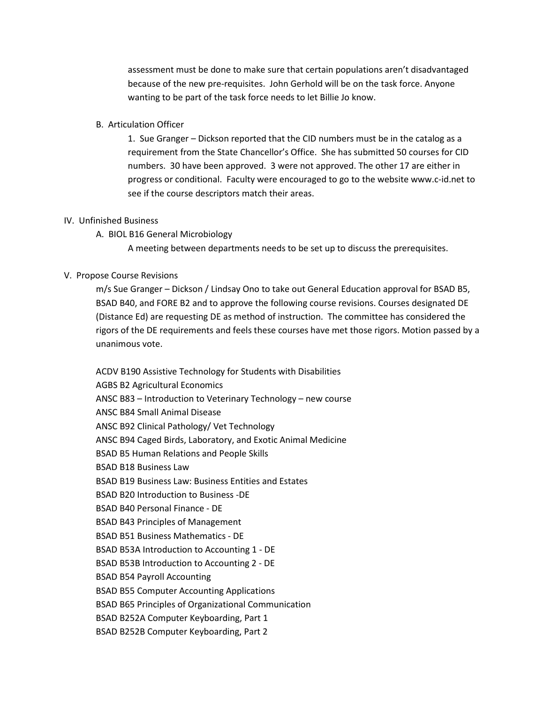assessment must be done to make sure that certain populations aren't disadvantaged because of the new pre-requisites. John Gerhold will be on the task force. Anyone wanting to be part of the task force needs to let Billie Jo know.

#### B. Articulation Officer

1. Sue Granger – Dickson reported that the CID numbers must be in the catalog as a requirement from the State Chancellor's Office. She has submitted 50 courses for CID numbers. 30 have been approved. 3 were not approved. The other 17 are either in progress or conditional. Faculty were encouraged to go to the website www.c-id.net to see if the course descriptors match their areas.

#### IV. Unfinished Business

A. BIOL B16 General Microbiology

A meeting between departments needs to be set up to discuss the prerequisites.

## V. Propose Course Revisions

m/s Sue Granger – Dickson / Lindsay Ono to take out General Education approval for BSAD B5, BSAD B40, and FORE B2 and to approve the following course revisions. Courses designated DE (Distance Ed) are requesting DE as method of instruction. The committee has considered the rigors of the DE requirements and feels these courses have met those rigors. Motion passed by a unanimous vote.

ACDV B190 Assistive Technology for Students with Disabilities AGBS B2 Agricultural Economics ANSC B83 – Introduction to Veterinary Technology – new course ANSC B84 Small Animal Disease ANSC B92 Clinical Pathology/ Vet Technology ANSC B94 Caged Birds, Laboratory, and Exotic Animal Medicine BSAD B5 Human Relations and People Skills BSAD B18 Business Law BSAD B19 Business Law: Business Entities and Estates BSAD B20 Introduction to Business -DE BSAD B40 Personal Finance - DE BSAD B43 Principles of Management BSAD B51 Business Mathematics - DE BSAD B53A Introduction to Accounting 1 - DE BSAD B53B Introduction to Accounting 2 - DE BSAD B54 Payroll Accounting BSAD B55 Computer Accounting Applications BSAD B65 Principles of Organizational Communication BSAD B252A Computer Keyboarding, Part 1 BSAD B252B Computer Keyboarding, Part 2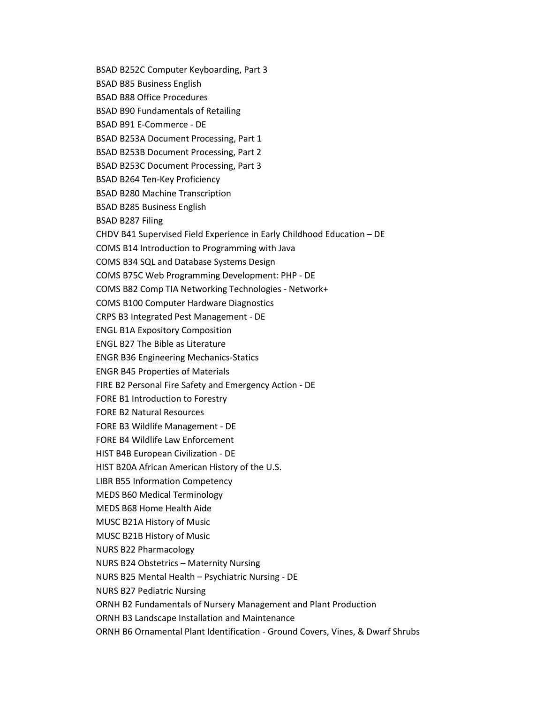BSAD B252C Computer Keyboarding, Part 3 BSAD B85 Business English BSAD B88 Office Procedures BSAD B90 Fundamentals of Retailing BSAD B91 E-Commerce - DE BSAD B253A Document Processing, Part 1 BSAD B253B Document Processing, Part 2 BSAD B253C Document Processing, Part 3 BSAD B264 Ten-Key Proficiency BSAD B280 Machine Transcription BSAD B285 Business English BSAD B287 Filing CHDV B41 Supervised Field Experience in Early Childhood Education – DE COMS B14 Introduction to Programming with Java COMS B34 SQL and Database Systems Design COMS B75C Web Programming Development: PHP - DE COMS B82 Comp TIA Networking Technologies - Network+ COMS B100 Computer Hardware Diagnostics CRPS B3 Integrated Pest Management - DE ENGL B1A Expository Composition ENGL B27 The Bible as Literature ENGR B36 Engineering Mechanics-Statics ENGR B45 Properties of Materials FIRE B2 Personal Fire Safety and Emergency Action - DE FORE B1 Introduction to Forestry FORE B2 Natural Resources FORE B3 Wildlife Management - DE FORE B4 Wildlife Law Enforcement HIST B4B European Civilization - DE HIST B20A African American History of the U.S. LIBR B55 Information Competency MEDS B60 Medical Terminology MEDS B68 Home Health Aide MUSC B21A History of Music MUSC B21B History of Music NURS B22 Pharmacology NURS B24 Obstetrics – Maternity Nursing NURS B25 Mental Health – Psychiatric Nursing - DE NURS B27 Pediatric Nursing ORNH B2 Fundamentals of Nursery Management and Plant Production ORNH B3 Landscape Installation and Maintenance ORNH B6 Ornamental Plant Identification - Ground Covers, Vines, & Dwarf Shrubs